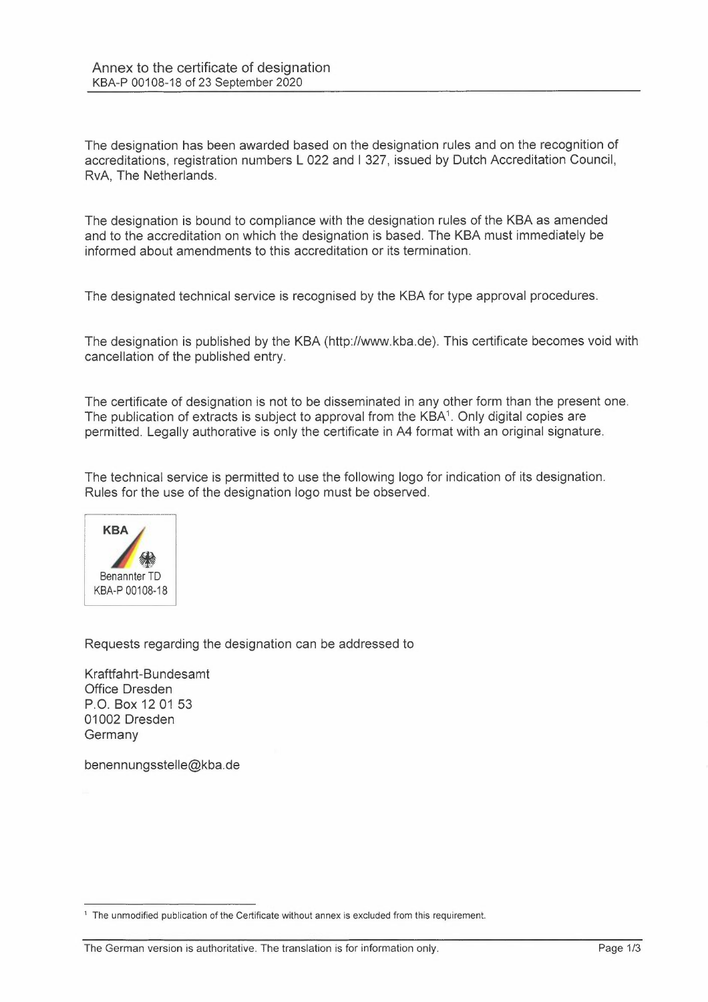The designation has been awarded based on the designation rules and on the recognition of accreditations, registration numbers L 022 and I 327, issued by Dutch Accreditation Council, RvA, The Netherlands.

The designation is bound to compliance with the designation rules of the KBA as amended and to the accreditation on which the designation is based. The KBA must immediately be informed about amendments to this accreditation or its termination.

The designated technical service is recognised by the KBA for type approval procedures.

The designation is published by the KBA (http://www.kba.de). This certificate becomes void with cancellation of the published entry.

The certificate of designation is not to be disseminated in any other form than the present one. The publication of extracts is subject to approval from the KBA<sup>1</sup>. Only digital copies are permitted. Legally authorative is only the certificate in A4 format with an original signature.

The technical service is permitted to use the following logo for indication of its designation. Rules for the use of the designation logo must be observed.



Requests regarding the designation can be addressed to

Kraftfahrt-Bundesamt Office Dresden P.O. Box 12 01 53 01002 Dresden **Germany** 

benennungsstelle@kba.de

<sup>&</sup>lt;sup>1</sup> The unmodified publication of the Certificate without annex is excluded from this requirement.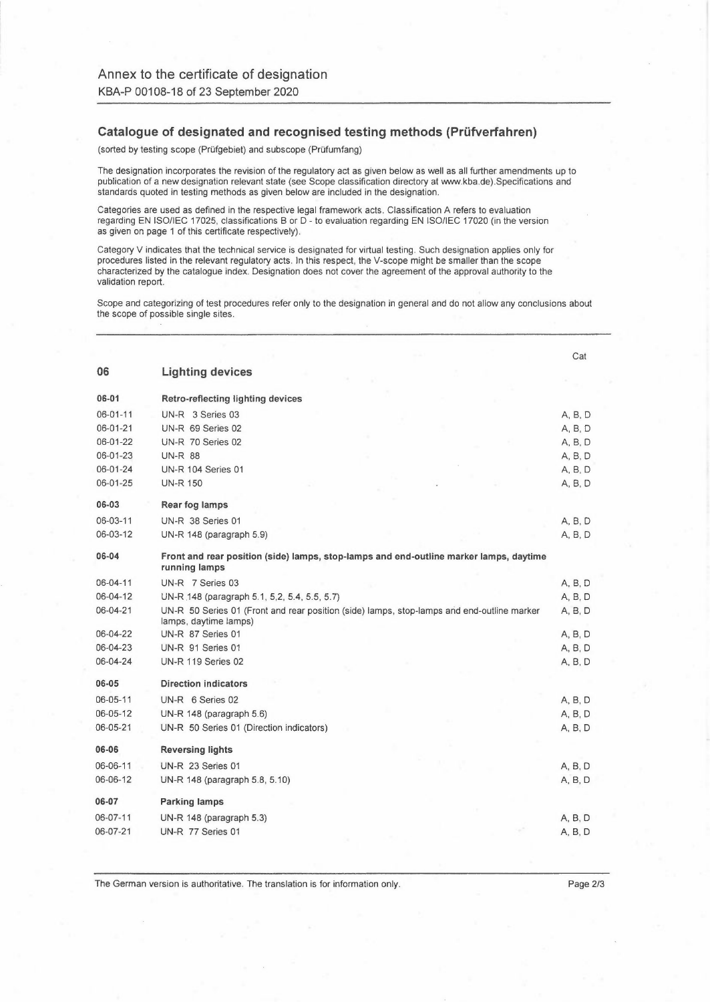## **Catalogue of designated and recognised testing methods (Prüfverfahren)**

(sorted by testing scope (Prüfgebiet) and subscope (Prüfumfang)

The designation incorporates the revision of the regulatory act as given below as well as all further amendments up to publication of a new designation relevant state (see Scope classification directory at www.kba.de).Specifications and standards quoted in testing methods as given below are included in the designation.

Categories are used as defined in the respective legal framework acts. Classification A refers to evaluation regarding EN ISO/IEC 17025, classifications B or D - to evaluation regarding EN ISO/IEC 17020 (in the version as given on page 1 of this certificate respectively).

Category V indicates that the technical service is designated for virtual testing. Such designation applies only for procedures listed in the relevant regulatory acts. ln this respect, the V-scope might be smaller than the scope characterized by the catalogue index. Designation does not cover the agreement of the approval authority to the validation report.

Scope and categorizing of test procedures refer only to the designation in general and do not allow any conclusions about the scope of possible single sites.

|                |                                                                                                                     | Cat     |
|----------------|---------------------------------------------------------------------------------------------------------------------|---------|
| 06             | <b>Lighting devices</b>                                                                                             |         |
| 06-01          | Retro-reflecting lighting devices                                                                                   |         |
| 06-01-11       | UN-R 3 Series 03                                                                                                    | A, B, D |
| 06-01-21       | UN-R 69 Series 02                                                                                                   | A, B, D |
| 06-01-22       | UN-R 70 Series 02                                                                                                   | A, B, D |
| 06-01-23       | <b>UN-R 88</b>                                                                                                      | A, B, D |
| 06-01-24       | <b>UN-R 104 Series 01</b>                                                                                           | A, B, D |
| 06-01-25       | <b>UN-R 150</b>                                                                                                     | A, B, D |
| 06-03          | Rear fog lamps                                                                                                      |         |
| 06-03-11       | UN-R 38 Series 01                                                                                                   | A, B, D |
| 06-03-12       | UN-R 148 (paragraph 5.9)                                                                                            | A, B, D |
| 06-04          | Front and rear position (side) lamps, stop-lamps and end-outline marker lamps, daytime<br>running lamps             |         |
| $06 - 04 - 11$ | UN-R 7 Series 03                                                                                                    | A, B, D |
| 06-04-12       | UN-R 148 (paragraph 5.1, 5,2, 5.4, 5.5, 5.7)                                                                        | A, B, D |
| 06-04-21       | UN-R 50 Series 01 (Front and rear position (side) lamps, stop-lamps and end-outline marker<br>lamps, daytime lamps) | A, B, D |
| 06-04-22       | UN-R 87 Series 01                                                                                                   | A, B, D |
| 06-04-23       | UN-R 91 Series 01                                                                                                   | A, B, D |
| 06-04-24       | <b>UN-R 119 Series 02</b>                                                                                           | A, B, D |
| 06-05          | <b>Direction indicators</b>                                                                                         |         |
| 06-05-11       | UN-R 6 Series 02                                                                                                    | A, B, D |
| $06 - 05 - 12$ | UN-R 148 (paragraph 5.6)                                                                                            | A, B, D |
| 06-05-21       | UN-R 50 Series 01 (Direction indicators)                                                                            | A, B, D |
| 06-06          | <b>Reversing lights</b>                                                                                             |         |
| 06-06-11       | UN-R 23 Series 01                                                                                                   | A, B, D |
| 06-06-12       | UN-R 148 (paragraph 5.8, 5.10)                                                                                      | A, B, D |
| 06-07          | <b>Parking lamps</b>                                                                                                |         |
| 06-07-11       | UN-R $148$ (paragraph $5.3$ )                                                                                       | A, B, D |
| 06-07-21       | UN-R 77 Series 01                                                                                                   | A, B, D |
|                |                                                                                                                     |         |

The German version is authoritative. The translation is for information only. The Serman version is authoritative.